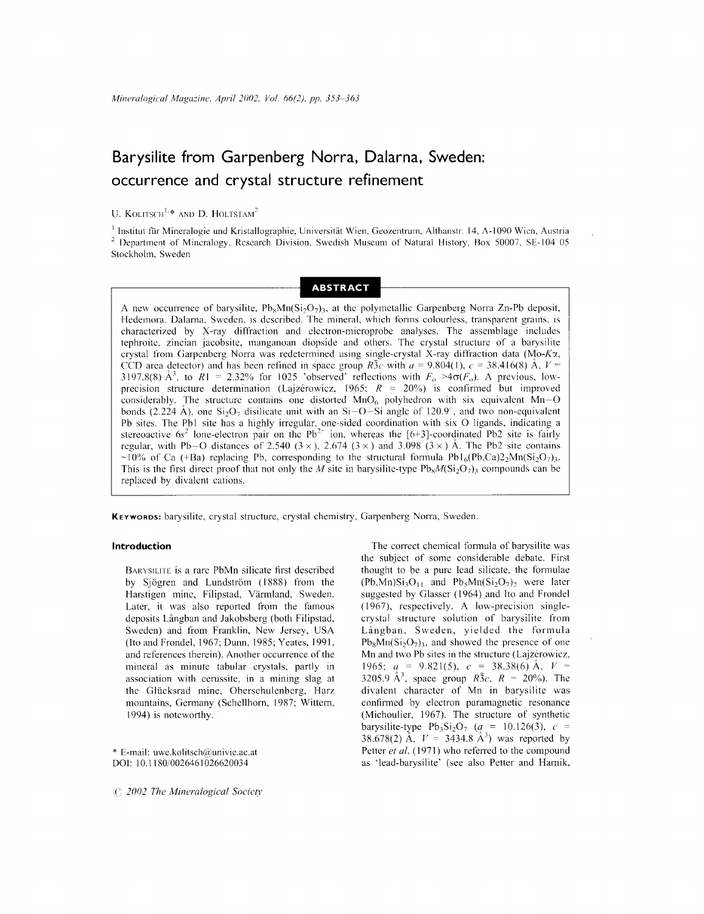# **Barysilite from Garpenberg Norra, Dalarna, Sweden: occurrence and crystal structure refinement**

# U. KOLITSCH<sup>1,\*</sup> AND D. HOLTSTAM<sup>2</sup>

<sup>1</sup> Institut für Mineralogie und Kristallographie, Universität Wien, Geozentrum, Althanstr. 14, A-1090 Wien, Austri <sup>2</sup> Department of Mineralogy, Research Division, Swedish Museum of Natural History, Box *S0007,* SE-104 *OS* Stockholm, Sweden

# **ABSTRACT**

A new occurrence of barysilite,  $Pb_xMn(Si<sub>2</sub>O<sub>7</sub>)$ , at the polymetallic Garpenberg Norra Zn-Pb deposit, Hedemora. Dalarna, Sweden, is described. The mineral, which forms colourless, transparent grains, is characterized by X-ray diffraction and electron-microprobe analyses. The assemblage includes tephroite, zincian jacobsite, manganoan diopside and others. The crystal structure of a barysilite crystal from Garpenberg Norra was redetermined using single-crystal X-ray diffraction data (Mo-Kx, CCD area detector) and has been refined in space group *R*3c with  $a = 9.804(1)$ ,  $c = 38.416(8)$  Å,  $V =$ 3197.8(8)  $\AA^3$ , to  $\overline{R}1 = 2.32\%$  for 1025 'observed' reflections with  $F_0 > 4\sigma(F_0)$ . A previous, lowprecision structure determination (Lajzerowicz, 1965;  $R = 20\%$ ) is confirmed but improved considerably. The structure contains one distorted  $MnO<sub>6</sub>$  polyhedron with six equivalent  $Mn-O$ bonds (2.224 Å), one  $Si_2O_7$  disilicate unit with an  $Si-O-Si$  angle of 120.9°, and two non-equivalent Pb sites. The Pb1 site has a highly irregular, one-sided coordination with six O ligands, indicating a stereoactive  $6s^2$  lone-electron pair on the Pb<sup>2-</sup> ion, whereas the [6+3]-coordinated Pb2 site is fairly regular, with Pb–O distances of 2.540 ( $3 \times$ ), 2.674 ( $3 \times$ ) and 3.098 ( $3 \times$ ) Å. The Pb2 site contain ~10% of Ca (+Ba) replacing Pb, corresponding to the structural formula Pb1<sub>6</sub>(Pb,Ca)2<sub>2</sub>Mn(Si<sub>2</sub>O<sub>7</sub>)<sub>3</sub>. This is the first direct proof that not only the *M* site in barysilite-type  $Pb_8M(Si_2O_7)_3$  compounds can be replaced by divalent cations.

**KEYWORDS:**barysilite, crystal structure, crystal chemistry, Garpenberg Norra, Sweden.

### **Introduction**

BARYSILITE is a rare PbMn silicate first described by Sjögren and Lundström (1888) from the Harstigen mine, Filipstad, Varmland, Sweden. Later, it was also reported from the famous deposits Långban and Jakobsberg (both Filipstad, Sweden) and from Franklin, New Jersey, USA (!to and Frondel, 1967; Dunn, 1985; Yeates, 1991, and references therein). Another occurrence of the mineral as minute tabular crystals, partly in association with cerussite, in a mining slag at the Gliicksrad mine, Obersehulenberg, Harz mountains, Germany (Schellhorn, 1987; Wittern, 1994) is noteworthy.

\* E-mail: uwe.kolitsch@univie.ac.at 001: 10.1180/0026461026620034

*2002 The Mineralogical Society*

The correct chemical formula of barysilite was the subject of some considerable debate. First thought to be a pure lead silicate, the formulae  $(Pb, Mn)Si<sub>3</sub>O<sub>11</sub>$  and  $Pb<sub>5</sub>Mn(Si<sub>2</sub>O<sub>7</sub>)<sub>2</sub>$  were later suggested by Glasscr (1964) and Ito and Frondel (1967), rcspectively. A low-precision singlecrystal structure solution of barysilite from Långban, Sweden, yielded the formula  $Pb_8Mn(Si_2O_7)$ <sub>3</sub>, and showed the presence of one Mn and two Pb sites in the structure (Lajzérowicz, 1965;  $a = 9.821(5)$ ,  $c = 38.38(6)$  Å,  $V =$ 3205.9  $A^3$ , space group *R*3*c*, *R* = 20%). The divalcnt character of Mn in barysilite was confinned by electron paramagnetic resonance (Michoulier, 1967). The structure of synthetic barysilite-type  $Pb_3Si_2O_7$  ( $a_2 = 10.126(3)$ ,  $c =$ 38.678(2) Å,  $V = 3434.8$  Å<sup>3</sup>) was reported by Petter *et al.* (1971) who referred to the compound as 'Iead-barysilite' (see also Petter and Harnik,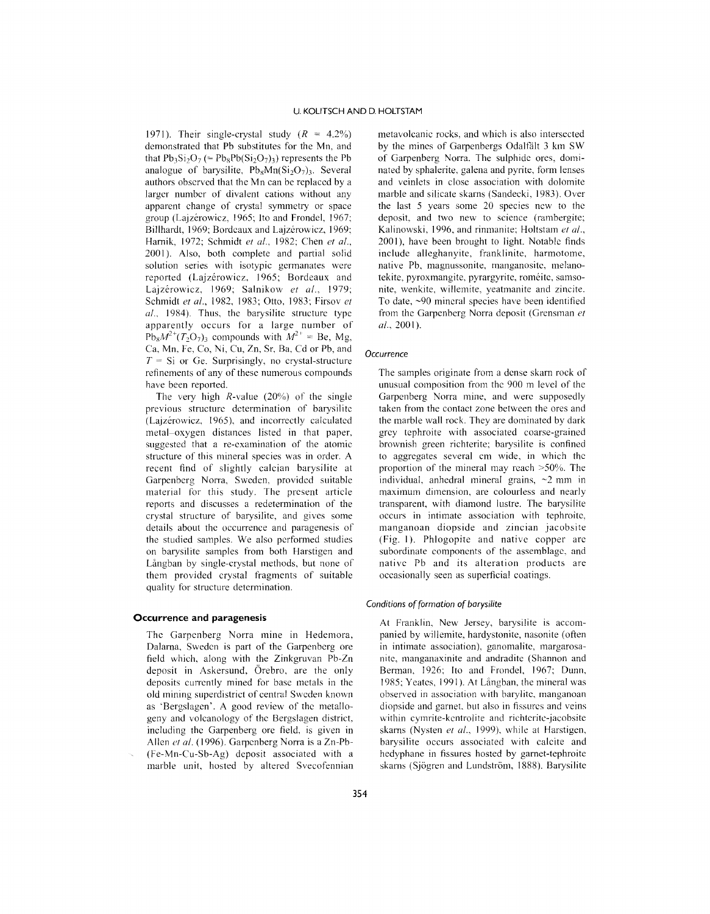1971). Their single-crystal study *(R* = 4.2%) demonstrated that Pb substitutes for the Mn, and that  $Pb_3Si_2O_7$  (=  $Pb_8Pb(Si_2O_7)_3$ ) represents the Pb analogue of barysilite,  $Pb_8Mn(Si_2O_7)$ <sub>3</sub>. Several authors observed that the Mn can be replaced by a larger number of divalent cations without any apparent change of crystal symmetry or space group (Lajzérowicz, 1965; Ito and Frondel, 1967; Billhardt, 1969; Bordeaux and Lajzérowicz, 1969; Harnik, 1972; Schmidt *el at.,* 1982; Chen *el al.,* 2001). Also, both complete and partial solid solution series with isotypic germanates were reported (Lajzérowicz, 1965; Bordeaux and Lajzerowicz, 1969; Salnikow *el al., 1979;* Schmidt *el al.,* 1982, 1983; Otto, 1983; Firsov *el al..* 1984). Thus, the barysilite structure type apparently occurs for a large number of  $Pb_8M^2$ <sup>+</sup> $(T_2O_7)_3$  compounds with  $M^2$ <sup>+</sup> = Be, Mg Ca, Mn, Fe, Co, Ni, Cu, Zn. Sr, Ba, Cd or Pb, and  $T =$  Si or Ge. Surprisingly, no crystal-structure refinements of any of these numerous compounds have been reported.

The very high  $R$ -value (20%) of the single previous structure determination of barysilitc (Lajzerowicz, 1965), and incorrectly calculatcd metal-oxygen distances listed in that paper, suggested that a re-examination of the atomic structure of this mineral species was in order. A recent find of slightly calcian barysilite at Garpenberg Norra, Sweden, provided suitable material for this study. The present article reports and discusses a redetermination of the crystal structure of barysilite, and gives some details about the occurrence and paragenesis of the studied samples. We also performed studies on barysilite samples from both Harstigen and Långban by single-crystal methods, but none of them provided crystal fragments of suitable quality for structure determination.

#### **Occurrence and paragenesis**

The Garpenberg Norra mine in Hedemora, Dalarna, Sweden is part of the Garpenberg ore field which, along with the Zinkgruvan Pb-Zn deposit in Askersund, Orebro, are the only deposits currently mined for base metals in the old mining superdistrict of central Swcden known as 'Bergslagen'. A good review of the metallogeny and volcanology of the Bergslagen district, including the Garpenberg ore field, is given in Allen *el al.* (1996). Garpenberg Norra is a Zn-Pb- (Fe-Mn-Cu-Sb-Ag) deposit associated with a marble unit, hosted by altered Svecofennian

metavolcanic rocks, and which is also intersected by the mines of Garpenbergs Odalfält 3 km SW of Garpenberg Norra. The sulphide ores, dominated by sphalerite, galena and pyrite, form lenses and veinlets in close association with dolomite marble and silicate skarns (Sandecki, 1983). Over the last 5 years some 20 species ncw to the deposit, and two new to science (rambergite; Kalinowski, 1996, and rimnanite; Holtstam *et al.,* 2001), have been brought to light. Notable finds include alleghanyite, franklinite, harmotome, native Pb, magnussonite, manganosite, melanotekite, pyroxmangite, pyrargyrite, roméite, samsonite, wenkite, willemite, yeatmanite and zincite. To date, -90 mincral species have been identified from the Garpenberg Norra deposit (Grensman *et* al.,2001).

#### *Occurrence*

The samples originate from a dense skarn rock of unusual composition from the 900 m level of the Garpenberg Norra mine, and were supposedly taken from the contact zone between the ores and the marble wall rock. They are dominated by dark grey tephroite with associated coarse-grained brownish green richterite; barysilite is confined to aggregates several cm wide, in which the proportion of the mineral may reach >50%. The individual, anhedral mineral grains,  $\sim$ 2 mm in maximum dimension, are colourless and nearly transparent, with diamond lustre. The barysilite occurs in intimate association with tephroite, manganoan diopside and zincian jacobsite (Fig. I). Phlogopite and native copper arc subordinate components of the assemblage, and native Pb and its alteration products are occasionally seen as superficial coatings.

#### *Conditions of formation of barysi/ite*

At Franklin, New Jersey, barysilite is accompanied by willemite, hardystonite, nasonite (often in intimate association), ganomalite, margarosanite, manganaxinite and andraditc (Shannon and Berman, 1926; Ito and Frondel, 1967; Dunn, 1985; Yeates, 1991). At Långban, the mineral was observed in association with barylite. manganoan diopside and garnet, but also in fissures and veins within cymrite-kentrolite and richterite-jacobsite skarns (Nysten *el al.,* 1999), while at Harstigen, barysilite occurs associated with calcite and hedyphane in fissures hosted by garnet-tephroite skarns (Sjögren and Lundström, 1888). Barysilite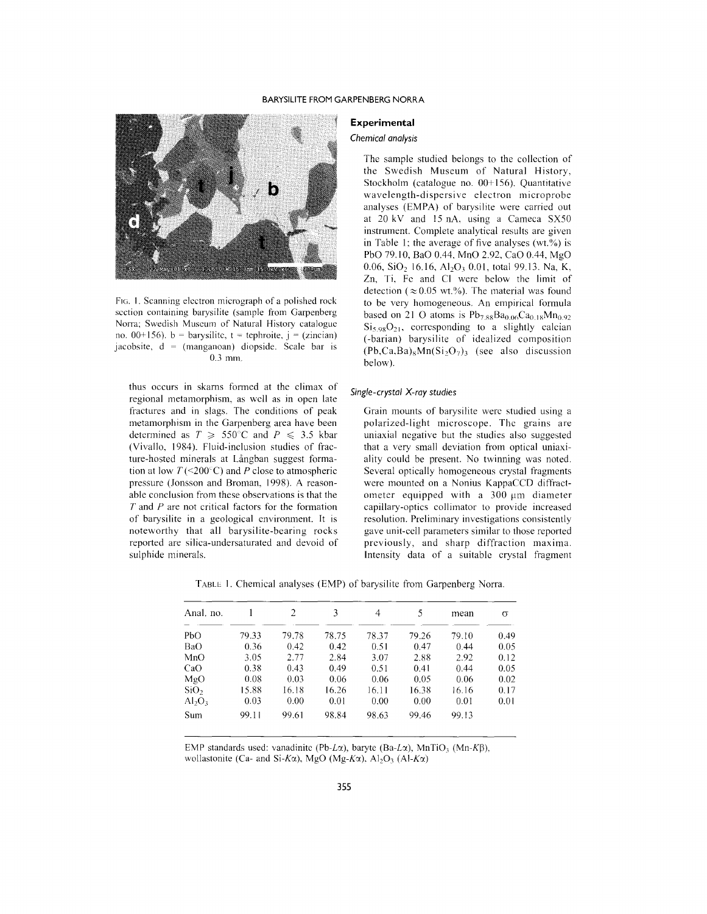### BARYSILITE FROM GARPENBERG NORRA



FIG. 1. Scanning electron micrograph of a polished rock section containing barysilite (sample from Garpenberg Norra; Swedish Museum of Natural History catalogue no. 00+156).  $b = \text{barysilite}$ ,  $t = \text{tephroite}$ ,  $j = (zincian)$ jacobsite, d = (manganoan) diopside. Scale bar is 0.3 mm.

thus occurs in skams formed at the climax of regional metamorphism, as wcll as in open late fractures and in slags. The conditions of peak metamorphism in the Garpenberg area have been determined as  $T \ge 550^{\circ}$ C and  $P \le 3.5$  kbar (Yivallo, 1984). Fluid-inclusion studies of fracture-hosted minerals at Långban suggest formation at low  $T$  (<200°C) and *P* close to atmospheric pressure (Jonsson and Broman, 1998). A reasonable conclusion from these observations is that the *T* and *P* are not critical factors for the formation of barysilite in a geological cnvironment. It is noteworthy that all barysilite-bearing rocks reported are silica-undersaturated and devoid of sulphide minerals.

#### **Experimental**

#### *Chemical analysis*

The sample studied belongs to the collection of the Swedish Museum of Natural History, Stockholm (catalogue no.  $00+156$ ). Quantitative wavelength-dispersive electron microprobe analyses (EMPA) of barysilite were carried out at 20 kY and 15 nA, using a Cameca SX50 instrument. Complete analytical results arc given in Table I; the average of five analyses *(wt.'Yo)* is PbO 79.10, BaO 0.44, MnO 2.92, CaO 0.44, MgO 0.06, SiO<sub>2</sub> 16.16, Al<sub>2</sub>O<sub>3</sub> 0.01, total 99.13. Na, K, Zn, Ti, Fe and CI were below the limit of detection ( $\approx 0.05$  wt.%). The material was found to be very homogeneous. An empirical formula based on 21 O atoms is  $Pb_{7,88}Ba_{0.06}Ca_{0.18}Mn_{0.92}$  $Si<sub>5.98</sub>O<sub>21</sub>$ , corresponding to a slightly calcian (-barian) barysilite of idealized composition  $(Pb, Ca, Ba)_{8}Mn(Si_{2}O_{7})_{3}$  (see also discussion below).

#### *Single-crystal X-ray studies*

Grain mounts of barysilite were studied using a polarized-light microscope. The grains are uniaxial negative but the studies also suggested that a very small deviation from optical uniaxiality could be present. No twinning was noted. Several optically homogeneous crystal fragments were mounted on a Nonius KappaCCD diffractometer equipped with a  $300 \mu m$  diameter capillary-optics collimator to provide increased resolution. Preliminary investigations consistently gave unit-cell parameters similar to those reported previously, and sharp diffraction maxima. Intensity data of a suitable crystal fragment

TABLE I. Chemical analyses (EMP) of barysilite from Garpenberg Norra.

| Anal. no.        |       | 2     | 3     | 4     | 5     | mean  | σ    |
|------------------|-------|-------|-------|-------|-------|-------|------|
| PbO              | 79.33 | 79.78 | 78.75 | 78.37 | 79.26 | 79.10 | 0.49 |
| BaO              | 0.36  | 0.42  | 0.42  | 0.51  | 0.47  | 0.44  | 0.05 |
| MnO              | 3.05  | 2.77  | 2.84  | 3.07  | 2.88  | 2.92  | 0.12 |
| CaO              | 0.38  | 0.43  | 0.49  | 0.51  | 0.41  | 0.44  | 0.05 |
| MgO              | 0.08  | 0.03  | 0.06  | 0.06  | 0.05  | 0.06  | 0.02 |
| SiO <sub>2</sub> | 15.88 | 16.18 | 16.26 | 16.11 | 16.38 | 16.16 | 0.17 |
| $Al_2O_3$        | 0.03  | 0.00  | 0.01  | 0.00  | 0.00  | 0.01  | 0.01 |
| Sum              | 99.11 | 99.61 | 98.84 | 98.63 | 99.46 | 99.13 |      |

EMP standards used: vanadinite (Pb-L $\alpha$ ), baryte (Ba-L $\alpha$ ), MnTiO<sub>3</sub> (Mn-K $\beta$ ), wollastonite (Ca- and Si-K $\alpha$ ), MgO (Mg-K $\alpha$ ), Al<sub>2</sub>O<sub>3</sub> (Al-K $\alpha$ )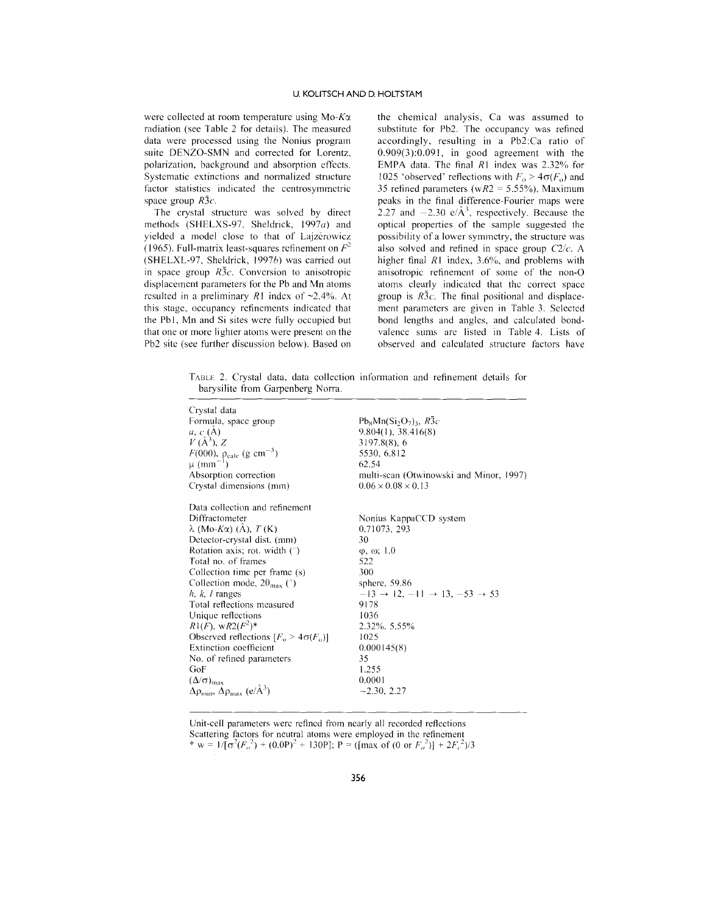were collected at room temperature using *Mo-Kcx* radiation (see Table 2 for details). The measured data were processed using the Nonius program suite DENZO-SMN and corrected for Lorentz, polarization, background and absorption effects. Systematic extinctions and normalized structure factor statistics indicated the centrosymmetric space group *R3c.*

The crystal structure was solved by direct methods (SHELXS-97, Sheldrick, *1997a)* and yielded a model close to that of Lajzérowicz (1965). Full-matrix least-squares refinement on  $F^2$ (SHELXL-97, Sheldrick, *1997h)* was carried out in space group *R3c.* Conversion to anisotropic displacement parameters for the Pb and Mn atoms resulted in a preliminary  $R1$  index of  $\sim 2.4\%$ . At this stage, occupancy refinements indicated that the Pb1, Mn and Si sites were fully occupied but that one or more lighter atoms were present on the Pb2 site (see further discussion below). Based on the chemical analysis, Ca was assumed to substitute for Pb2. The occupancy was refined accordingly, resulting in a Pb2:Ca ratio of 0.909(3):0.091, in good agreement with the EMPA data. The final *RI* index was 2.32% for 1025 'observed' reflections with  $F_0 > 4\sigma(F_0)$  and 35 refined parameters *(wR2* = 5.55%). Maximum peaks in the final difference-Fourier maps were 2.27 and  $-2.30 \text{ e}/\text{\AA}^3$ , respectively. Because the optical properties of the sample suggested the possibility of a lower symmetry, the structure was also solved and refined in space group *C2/c.* A higher final *RI* index, 3.6%, and problems with anisotropic refinement of some of the non-O atoms clearly indicated that the correct space group is *R3c.* The final positional and displacement parameters are given in Table 3. Selected bond lengths and angles, and calculated bondvalence sums are listed in Table 4. Lists of observed and calculated structure factors have

TABLE 2. Crystal data, data collection information and refinement details for barysilite from Garpenberg Norra.

| Crystal data<br>Formula, space group<br>a, c(A)<br>$V(A^3), Z$<br>$F(000)$ , $\rho_{calc}$ (g cm <sup>-3</sup> )<br>$\mu$ (mm <sup>-1</sup> )<br>Absorption correction<br>Crystal dimensions (mm)                                                                                                                                                                                                                                                                                                                                                                                                             | $Pb_8Mn(Si_2O_7)3, R\bar{3}c$<br>9.804(1), 38.416(8)<br>$3197.8(8)$ , 6<br>5530, 6.812<br>62.54<br>multi-scan (Otwinowski and Minor, 1997)<br>$0.06 \times 0.08 \times 0.13$                                                                                                 |
|---------------------------------------------------------------------------------------------------------------------------------------------------------------------------------------------------------------------------------------------------------------------------------------------------------------------------------------------------------------------------------------------------------------------------------------------------------------------------------------------------------------------------------------------------------------------------------------------------------------|------------------------------------------------------------------------------------------------------------------------------------------------------------------------------------------------------------------------------------------------------------------------------|
| Data collection and refinement<br>Diffractometer<br>$\lambda$ (Mo-K $\alpha$ ) (A), T (K)<br>Detector-crystal dist. (mm)<br>Rotation axis; rot. width $(^\circ)$<br>Total no. of frames<br>Collection time per frame (s)<br>Collection mode, $2\theta_{\text{max}}$ (°)<br>$h, k, l$ ranges<br>Total reflections measured<br>Unique reflections<br>$R1(F)$ , w $R2(F^2)^*$<br>Observed reflections $[F_0 > 4\sigma(F_0)]$<br><b>Extinction coefficient</b><br>No. of refined parameters<br>GoF<br>$(\Delta/\sigma)_{\text{max}}$<br>$\Delta\rho_{\text{min}}$ , $\Delta\rho_{\text{max}}$ (e/Å <sup>3</sup> ) | Nonius KappaCCD system<br>0.71073, 293<br>30<br>$\varphi$ , $\omega$ ; 1.0<br>522<br>300<br>sphere, $59.86$<br>$-13 \rightarrow 12, -11 \rightarrow 13, -53 \rightarrow 53$<br>9178<br>1036<br>2.32%, 5.55%<br>1025<br>0.000145(8)<br>35<br>1.255<br>0.0001<br>$-2.30, 2.27$ |

Unit-cell parameters were refined from nearly all recorded reflections Scattering factors for neutral atoms were employed in the refinement \* w =  $1/[\sigma^2(F_o^2) + (0.0P)^2 + 130P]$ ; P = ([max of (0 or  $F_o^2$ )] +  $2F_c^2$ )/3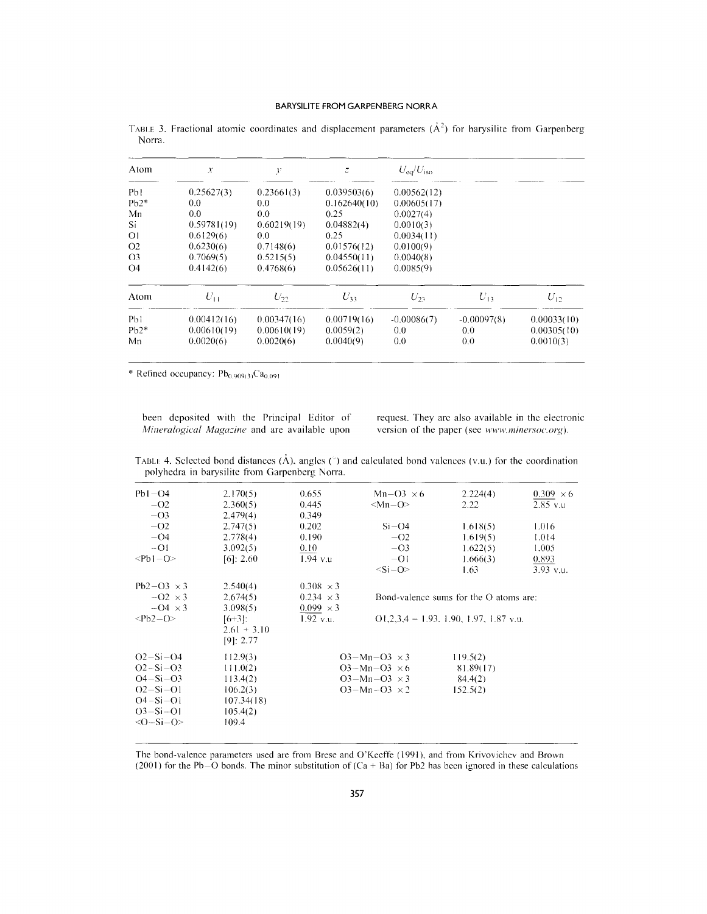| Atom           | $\mathcal{X}$ | $\mathcal{Y}$ | Ξ            | $U_{\rm eq}/U_{\rm iso}$ |               |             |
|----------------|---------------|---------------|--------------|--------------------------|---------------|-------------|
| Pbl            | 0.25627(3)    | 0.23661(3)    | 0.039503(6)  | 0.00562(12)              |               |             |
| $Pb2*$         | $0.0^{\circ}$ | 0.0           | 0.162640(10) | 0.00605(17)              |               |             |
| Mn             | 0.0           | 0.0           | 0.25         | 0.0027(4)                |               |             |
| Si             | 0.59781(19)   | 0.60219(19)   | 0.04882(4)   | 0.0010(3)                |               |             |
| Οl             | 0.6129(6)     | 0.0           | 0.25         | 0.0034(11)               |               |             |
| O <sub>2</sub> | 0.6230(6)     | 0.7148(6)     | 0.01576(12)  | 0.0100(9)                |               |             |
| O <sub>3</sub> | 0.7069(5)     | 0.5215(5)     | 0.04550(11)  | 0.0040(8)                |               |             |
| O4             | 0.4142(6)     | 0.4768(6)     | 0.05626(11)  | 0.0085(9)                |               |             |
| Atom           | $U_{11}$      | $U_{22}$      | $U_{33}$     | $U_{23}$                 | $U_{13}$      | $U_{12}$    |
| Pb1            | 0.00412(16)   | 0.00347(16)   | 0.00719(16)  | $-0.00086(7)$            | $-0.00097(8)$ | 0.00033(10) |
| $Pb2*$         | 0.00610(19)   | 0.00610(19)   | 0.0059(2)    | 0.0                      | 0.0           | 0.00305(10) |
| Mn             | 0.0020(6)     | 0.0020(6)     | 0.0040(9)    | 0.0                      | 0.0           | 0.0010(3)   |

TABLE 3. Fractional atomic coordinates and displacement parameters  $(\AA^2)$  for barysilite from Garpenberg Norra.

\* Refined occupancy:  $Pb_{0.909(3)}Ca_{0.091}$ 

been deposited with the Principal Editor of *Mineralogical Magazine* and are available upon request. They are also available in the electronic version of the paper (see *www.minersoc.org*).

TABLE 4. Selected bond distances  $(\hat{A})$ , angles  $(\hat{A})$  and calculated bond valences (v.u.) for the coordination polyhedra in barysilite from Garpenberg Norra.

| $Pb1 - O4$<br>$-O2$                                         | 2.170(5)<br>2.360(5)                        | 0.655<br>0.445   | $Mn-O3 \times 6$<br>$ Mn-O\rangle$ | 2.224(4)<br>2.22                         | $0.309 \times 6$<br>$2.85$ v.u |
|-------------------------------------------------------------|---------------------------------------------|------------------|------------------------------------|------------------------------------------|--------------------------------|
| $-O3$                                                       | 2.479(4)                                    | 0.349            |                                    |                                          |                                |
| $-O2$                                                       | 2.747(5)                                    | 0.202            | $Si-O4$                            | 1,618(5)                                 | 1.016                          |
| $-O4$                                                       | 2.778(4)                                    | 0.190            | $-O2$                              | 1.619(5)                                 | 1.014                          |
| $-O1$                                                       | 3.092(5)                                    | $0.10^{-7}$      | $-O3$                              | 1.622(5)                                 | 1.005                          |
| $<$ Pb1 $-$ O $>$                                           | $[6]$ : 2.60                                | $1.94$ v.u       | $-01$                              | 1.666(3)                                 | 0.893                          |
|                                                             |                                             |                  | $<$ Si $-$ O>                      | 1.63                                     | $3.93$ v.u.                    |
| $Pb2-O3 \times 3$                                           | 2.540(4)                                    | $0.308 \times 3$ |                                    |                                          |                                |
| $-02 \times 3$                                              | 2.674(5)                                    | $0.234 \times 3$ |                                    | Bond-valence sums for the $O$ atoms are: |                                |
| $-04 \times 3$                                              | 3.098(5)                                    | $0.099 \times 3$ |                                    |                                          |                                |
| $Pb2-O$                                                     | $[6+3]:$<br>$2.61 + 3.10$<br>[9]: 2.77      | $1.92$ v.u.      |                                    | $Q1,2,3,4 = 1.93, 1.90, 1.97, 1.87$ v.u. |                                |
| $Q^2-Si-Q$                                                  | 112.9(3)                                    |                  | $O3-Mn-O3 \times 3$                | 119.5(2)                                 |                                |
| $O2-Si-O3$                                                  | 111.0(2)                                    |                  | $O3-Mn-O3 \times 6$                | 81.89(17)                                |                                |
| $O4-Si-O3$                                                  | 113.4(2)                                    |                  | $O3-Mn-O3 \times 3$                | 84.4(2)                                  |                                |
| $O2-Si-O1$<br>$O4-Si-O1$<br>$O3-Si-O1$<br>$\langle$ O-Si-O> | 106.2(3)<br>107.34(18)<br>105.4(2)<br>109.4 |                  | $O3-Mn-O3 \times 2$                | 152.5(2)                                 |                                |
|                                                             |                                             |                  |                                    |                                          |                                |

The bond-valence parameters used are from Brese and O'Kecffe (1991). and from Krivovichcv and Brown (2001) for the Pb-O bonds. The minor substitution of  $(Ca + Ba)$  for Pb2 has been ignored in these calculations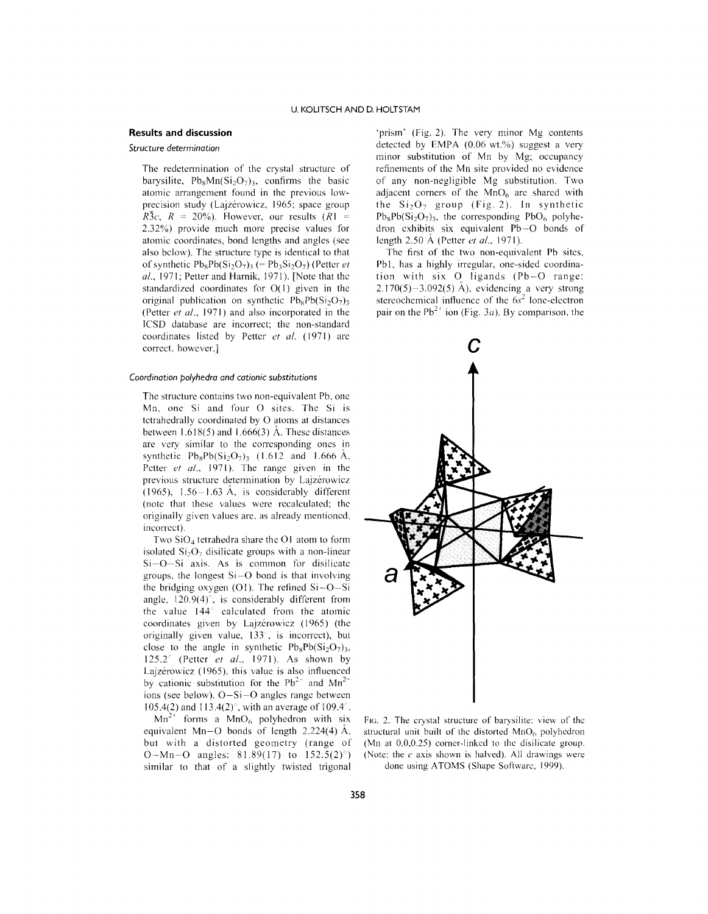# **Results and discussion**

#### *Structure determination*

The redetermination of the crystal structure of barysilite,  $Pb_8Mn(Si_2O_7)$ <sub>3</sub>, confirms the basic atomic arrangement found in the previous lowprecision study (Lajzérowicz, 1965; space group  $R\bar{3}c$ ,  $R = 20\%$ ). However, our results  $(R1 =$ 2.32%) provide much more precise values for atomic coordinates, bond lengths and angles (see also below). The structure type is identical to that of synthetic  $Pb_8Pb(Si_2O_7)$ <sub>3</sub> (=  $Pb_3Si_2O_7$ ) (Petter *et af.,* 1971; Petter and Hamik, 1971). [Note that thc standardized coordinates for  $O(1)$  given in the original publication on synthetic  $Pb_8Pb(Si_2O_7)$ (Petter *et af.,* 1971) and also incorporated in the ICSD database are incorrect; the non-standard coordinates listed by Petter *et al.* (1971) are correct, however.]

#### *Coordination polyhedra and cationic substitutions*

The structure contains two non-equivalent Pb, one Mn, one Si and four 0 sites. The Si is tctrahedrally coordinated by 0 atoms at distances between  $1.618(5)$  and  $1.666(3)$  Å. These distances are very similar to the corrcsponding ones in synthetic  $Pb_8Pb(Si_2O_7)_3$  (1.612 and 1.666 Å, Petter *et af.,* 1971). The range given in the previous structure determination by Lajzérowicz  $(1965)$ , 1.56-1.63 Å, is considerably different (notc that these values were rccalculatcd; thc originally given values are, as already mentioned, incorrcct).

Two  $SiO<sub>4</sub>$  tetrahedra share the O1 atom to form isolated  $Si<sub>2</sub>O<sub>7</sub>$  disilicate groups with a non-linear Si-O-Si axis. As is common for disilicatc groups, the longest  $Si-O$  bond is that involving the bridging oxygen  $(01)$ . The refined Si $-O-Si$ angle,  $120.9(4)$ °, is considerably different from the value 144<sup>°</sup> calculated from the atomic coordinates given by Lajzérowicz (1965) (the originally given value,  $133^\circ$ , is incorrect), but close to the angle in synthetic  $Pb_8Pb(Si_2O_7)$ , 125.2 $\degree$  (Petter *et al.*, 1971). As shown by Lajzérowicz (1965), this value is also influenced by cationic substitution for the  $Pb^{2+}$  and  $Mn^{2-}$ ions (see below). O-Si-O angles range betwecn 105.4(2) and 113.4(2)<sup>°</sup>, with an average of 109.4<sup>°</sup>.

 $Mn^{2+}$  forms a  $MnO_6$  polyhedron with six equivalent Mn-O bonds of length  $2.224(4)$  Å, but with a distorted geometry (range of O-Mn-O angles: 81.89(17) to  $152.5(2)°$ ) similar to that of a slightly twisted trigonal

'prism' (Fig. 2). The very minor Mg contents detected by EMPA  $(0.06 \text{ wt.})$ % suggest a very minor substitution of Mn by Mg; occupancy refinements of thc Mn site provided no evidcnce of any non-negligible Mg substitution. Two adjacent corners of the  $MnO<sub>6</sub>$  are shared with the  $Si<sub>2</sub>O<sub>7</sub>$  group (Fig. 2). In synthetic  $Pb_8Pb(Si_2O_7)$ <sub>3</sub>, the corresponding  $PbO_6$  polyhedron cxhibits six equivalent Pb-O bonds of length 2.50 A (Petter *et af.,* 1971).

The first of the two non-equivalent Pb sites, Pb<sub>1</sub>, has a highly irregular, one-sided coordination with six 0 ligands (Pb-O range:  $2.170(5)-3.092(5)$  Å), evidencing a very strong stereochemical influence of the  $6s<sup>2</sup>$  lone-electron pair on the  $Pb^{2+}$  ion (Fig. 3*a*). By comparison, the



FIG. 2. The crystal structure of barysilite: view of the structural unit built of the distorted  $MnO<sub>6</sub>$  polyhedron (Mn at 0,0,0.25) corner-linked to the disilicate group. (Note: the *c* axis shown is halved). All drawings were done using ATOMS (Shape Software, 1999).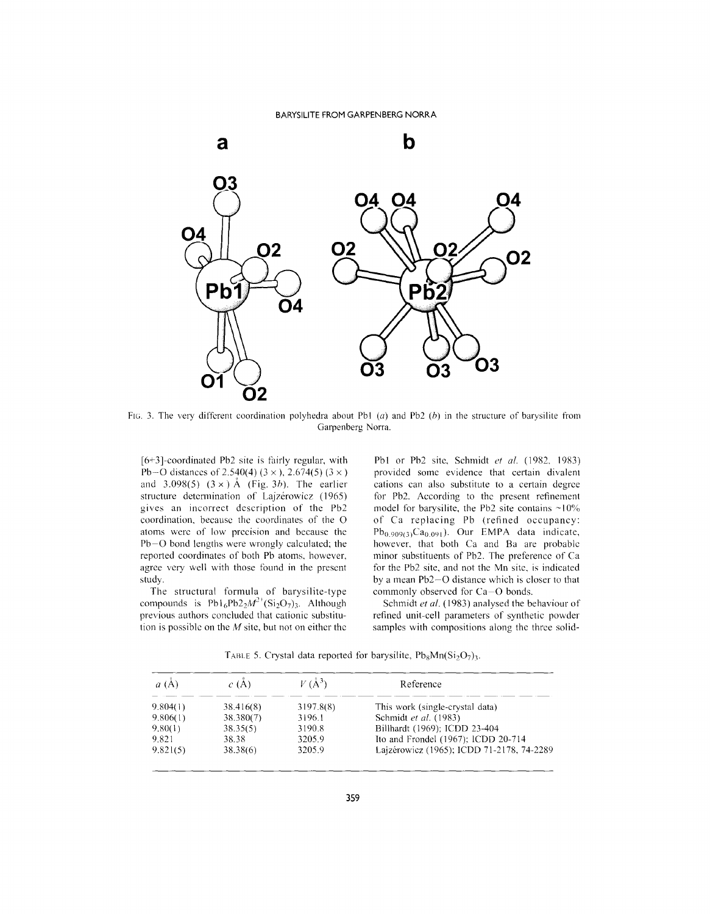

FIG. 3. The very different coordination polyhedra about Pb1 (a) and Pb2 (b) in the structure of barysilite from Garpenberg Norra.

 $[6+3]$ -coordinated Pb2 site is fairly regular, with Pb-O distances of 2.540(4) (3 x ), 2.674(5) (3 x ) and  $3.098(5)$   $(3 \times)$  Å (Fig. 3b). The earlier structure determination of Lajzérowicz (1965) gives an incorrect dcscription of the Pb2 coordination, because the coordinates of the O atoms werc of low prccision and because the Pb-O bond lengths were wrongly calculated; the reported coordinates of both Pb atoms, howcver, agree very well with those found in the present study.

The structural formula of barysilite-type compounds is  $Pb1_6Pb2_2M^2$ <sup>+</sup>(Si<sub>2</sub>O<sub>7</sub>)<sub>3</sub>. Although previous authors concluded that cationic substitution is possiblc on the *M* site, but not on either thc

Pb1 or Pb2 site, Schmidt *et al.* (1982, 1983) provided some evidence that certain divalent cations can also substitute to a certain degrce for Pb2. According to thc prcsent refinement model for barysilite, the Pb2 site contains  $\sim$ 10% of Ca replacing Pb (refined occupancy:  $Pb_{0.909(3)}Ca_{0.091}$ ). Our EMPA data indicate, however, that both Ca and Ba are probable minor substituents of Pb2. The preferencc of Ca for the Pb2 site, and not the Mn sitc, is indicated by a mean Pb2-0 distance which is closer to that commonly observed for Ca-O bonds.

Schmidt *et at.* (1983) analysed the behaviour of refined unit-cell parameters of synthetic powder samples with compositions along the three solid-

TABLE 5. Crystal data reported for barysilite,  $Pb_8Mn(Si_2O_7)$ .

| $a(\AA)$ | c(A)      | $V(\AA^3)$ | Reference                                 |
|----------|-----------|------------|-------------------------------------------|
| 9.804(1) | 38.416(8) | 3197.8(8)  | This work (single-crystal data)           |
| 9,806(1) | 38.380(7) | 3196.1     | Schmidt et al. (1983)                     |
| 9,80(1)  | 38.35(5)  | 3190.8     | Billhardt (1969), ICDD 23-404             |
| 9.821    | 38.38     | 3205.9     | Ito and Frondel (1967); ICDD 20-714       |
| 9.821(5) | 38.38(6)  | 3205.9     | Lajzérowicz (1965); ICDD 71-2178, 74-2289 |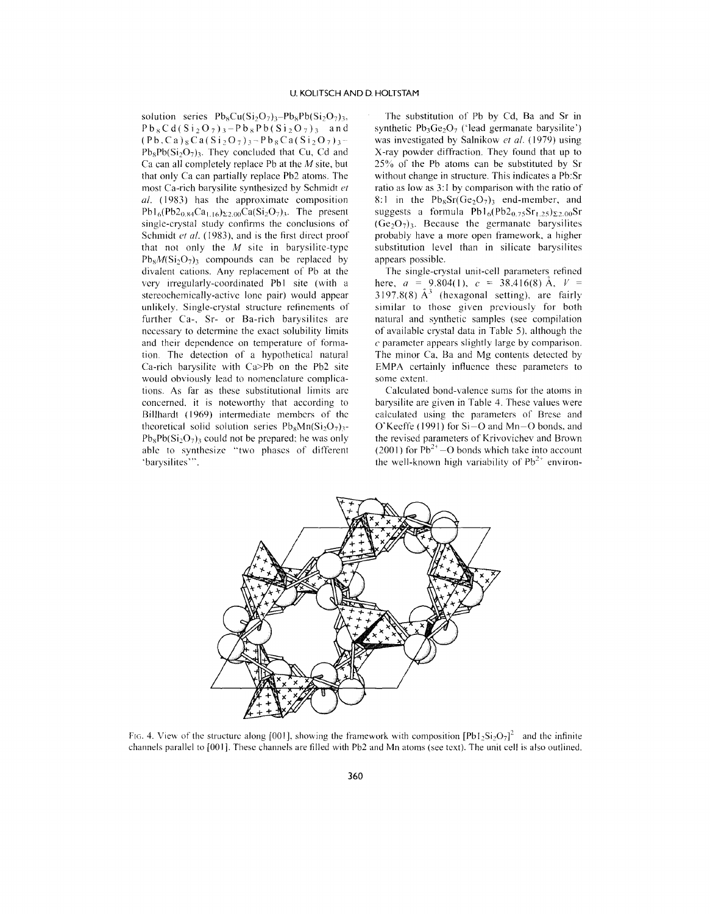solution series  $Pb_8Cu(Si_2O_7)_3-Pb_8Pb(Si_2O_7)_3$ ,  $Pb_8Cd(Si_2O_7)$ <sub>3</sub>-Pb<sub>8</sub>Pb(Si<sub>2</sub>O<sub>7</sub>)<sub>3</sub> and  $(Pb, Ca)_8Ca(Si_2O_7)$ <sub>3</sub>- $Pb_8Ca(Si_2O_7)$ <sub>3</sub>- $Pb_8Pb(Si_2O_7)_3$ . They concluded that Cu, Cd and Ca can all completely replace Pb at the *M* site, but that only Ca can partially replace Pb2 atoms. The most Ca-rich barysilite synthesized by Schmidt *et al.* (1983) has the approximate composition  $Pb1_6(Pb2_{0.84}Ca_{1.16})_{\Sigma2.00}Ca(Si_2O_7)_{3}$ . The present single-crystal study confirms the conclusions of Schmidt *et al.* (1983), and is the first direct proof that not only the *M* site in barysilitc-typc  $Pb_8M(Si_2O_7)$ <sub>3</sub> compounds can be replaced by divalent cations. Any replacement of Pb at the very irregularly-coordinated Pb1 site (with a stereochemically-active lone pair) would appear unlikely. Single-crystal structure refinements of further Ca-, Sr- or Ba-rich barysilites are necessary to determine the exact solubility limits and their dependence on temperature of formation. The detection of a hypothetical natural Ca-rich barysilite with Ca>Pb on the Pb2 site would obviously lead to nomenclature complications. As far as these substitutional limits are concerned, it is noteworthy that according to Billhardt (1969) intermediate members of the theoretical solid solution series  $Pb_8Mn(Si_2O_7)$ ,- $Pb_8Pb(Si_2O_7)$  could not be prepared; he was only able to synthesize "two phases of different able to syr<br>'barysilites''

The substitution of Pb by Cd, Ba and Sr in synthetic  $Pb_3Ge_2O_7$  ('lead germanate barysilite') was investigated by Salnikow *et al.* (1979) using X-ray powder diffraction. They found that up to 25% of the Pb atoms can be substituted by Sr without change in structure. This indicates a Pb:Sr ratio as low as 3: 1 by comparison with the ratio of 8:1 in the  $Pb_8Sr(Ge_2O_7)_3$  end-member, and suggests a formula  $Pb1_6(Pb2_{0.75}Sr_{1.25})_{\Sigma2.00}Sr$  $(Ge<sub>2</sub>O<sub>7</sub>)<sub>3</sub>$ . Because the germanate barysilites probably have a more open framework, a higher substitution level than in silicate barysilites appears possible.

The single-crystal unit-cell parameters refined here,  $a = 9.804(1)$ ,  $c = 38.416(8)$   $\text{A}$ ,  $V =$ 3197.8(8)  $A^3$  (hexagonal setting), are fairly similar to those given previously for both natural and synthetic samples (see compilation of available crystal data in Table 5), although the *c* parameter appears slightly large by comparison. The minor Ca, Ba and Mg contents detected by EMPA certainly influence these parameters to some extent.

Calculated bond-valence sums for the atoms in barysilite are given in Table 4. These values were calculated using the parameters of Brese and O'Keeffe (1991) for Si-O and Mn-O bonds, and the revised parameters of Krivovichev and Brown (2001) for  $Pb^{2+}$  -O bonds which take into account the well-known high variability of  $Pb^{2+}$  environ-



FIG. 4. View of the structure along [001], showing the framework with composition  $[Pb1_2Si_2O_7]^2$  and the infinite channels parallel to [00 I]. These channels are filled with Pb2 and Mn atoms (see text). The unit cell is also outlined.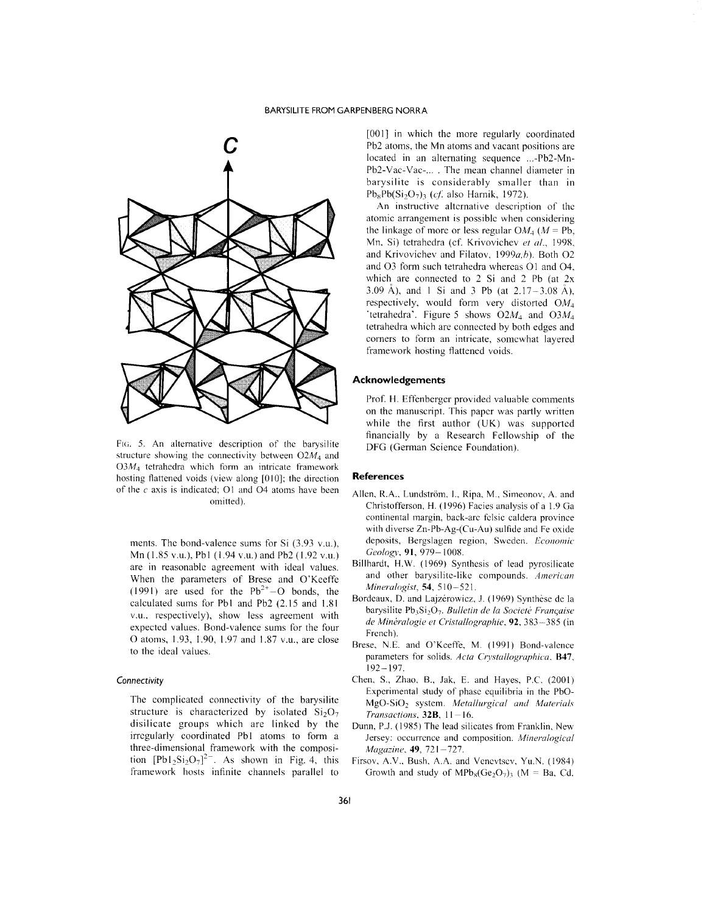

FIG. 5. An alternative description of thc barysilite structure showing the connectivity between *02M4* and  $03M<sub>4</sub>$  tetrahedra which form an intricate framework hosting flattened voids (view along [010]; the direction of the *c* axis is indicated; O1 and O4 atoms have been omitted).

ments. The bond-valence sums for Si (3.93 v.u.), Mn (1.85 v.u.), Pbl (1.94 v.u.) and Pb2 (1.92 v.u.) are in reasonablc agreement with ideal values. When the parameters of Brese and O'Keeffe (1991) are used for the  $Pb^{2+}-O$  bonds, the calculated sums for Pb1 and Pb2 (2.15 and 1.81 v.u., respectively), show less agreement with expected values. Bond-valence sums for the four o atoms, 1.93, 1.90, 1.97 and 1.87 v.u., are close to the ideal values.

#### *Connectivity*

The complicated connectivity of the barysilite structure is characterized by isolated  $Si<sub>2</sub>O<sub>7</sub>$ disilicate groups which are linked by the irrcgularly coordinated Pbl atoms to form a three-dimensional framework with the composition  $[{\rm Pb1}_2{\rm Si}_2{\rm O}_7]^{2-}$ . As shown in Fig. 4, this framework hosts infinite channels parallel to

[001] in which the more regularly coordinated Pb2 atoms, the Mn atoms and vacant positions are located in an alternating sequence ...-Pb2-Mn-Pb2-Vac-Vac-... . The mean channel diameter in barysilite is considerably smaller than in  $Pb_8Pb(Si_2O_7)$  *(cf.* also Harnik, 1972).

An instructive altcrnative description of thc atomic arrangement is possiblc when considering the linkage of more or less regular  $OM_4$  ( $M = Pb$ , Mn. Si) tetrahedra (cf. Krivovichev *et al., 1998,* and Krivovichev and Filatov, 1999a,b). Both O2 and 03 form such tetrahedra whercas 01 and 04, which are connected to 2 Si and 2 Pb (at 2x 3.09 A), and I Si and 3 Pb (at 2.17-3.08 A), respectively, would form very distorted *OM4* 'tetrahedra'. Figure 5 shows *02M4* and *03M4* tetrahedra which are connected by both edges and corners to form an intricate, somcwhat layered framework hosting flattened voids.

#### **Acknowledgements**

Prof. H. Effenberger provided valuable comments on the manuscript. This papcr was partly written while the first author (UK) was supported financially by a Research Fcllowship of the DFG (German Science Foundation).

#### **References**

- Allen, R.A., Lundström, I., Ripa, M., Simeonov, A. and Christofferson, H. (1996) Facies analysis of a 1.9 Ga continental margin, back-arc fclsic caldera province with diverse Zn-Pb-Ag-(Cu-Au) sulfide and Fe oxide deposits, Bergslagen region, Swcdcn. *Economic Geolo&'Y.*91, 979-1008.
- Billhardt, H.W. (1969) Synthesis of lead pyrosilicate and other barysilitc-like compounds. *American Mineralogist*, 54, 510-521.
- Bordeaux, D. and Lajzérowicz, J. (1969) Synthèse de la barysilite Pb}Si207. *Bulletin de la Societe Franc;aise de Mineralogie et Cristallographie.* 92, 383-385 (in French).
- Brese, N.E. and O'Keeffe. M. (1991) Bond-valence parameters for solids. *Acta Crystallographica*, **B47**, 192-197.
- Chen, S., Zhao, B., Jak, E. and Hayes, P.C. (2001) Experimental study of phase cquilibria in the PbO-MgO-Si02 system. *Metallurgical and Materials Transactions,* 328, 11-16.
- Dunn, P.J. (1985) The lead silicates from Franklin, New Jersey: occurrcnce and composition. *Mineralogical Magazine*, 49, 721-727.
- Firsov, A.V., Bush, A.A. and Venevtsev, Yu.N. (1984) Growth and study of  $MPb_8(Ge_2O_7)$  (M = Ba, Cd,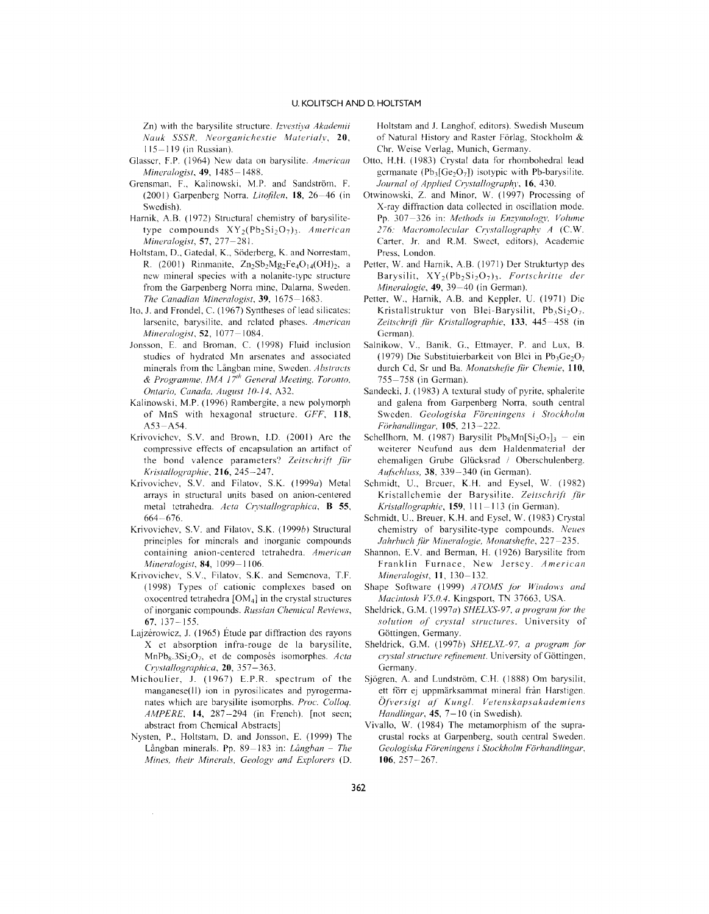Zn) with the barysilite structure. *Izvestiva Akademii Nauk SSSR, Neorganichestie Materialv, 20,* 115-119 (in Russian).

- Glasscr, F.P. (1964) New data on barysilite. *American Mineralogist*, 49, 1485-1488.
- Grensman, F., Kalinowski, M.P. and Sandström, F. (2001) Garpenbcrg Norra. *Litofilen,* 18,26-46 (in Swedish).
- Harnik, A.B. (1972) Structural chemistry of barysilitetype compounds  $XY_2(Pb_2Si_2O_7)$ . *American Mineralogist,* 57, 277-281.
- Holtstam, D., Gatedal, K., Söderberg, K. and Norrestam, R. (2001) Rinmanite,  $Zn_2Sb_2Mg_2Fe_4O_{14}(OH)_2$ , a ncw mineral species with a nolanite-typc structure from the Garpenberg Norra minc, Dalarna, Sweden. *The Canadian Mineralogist,* 39, 1675-1683.
- Ito, J. and Frondel, C. (1967) Syntheses of lead silicatcs: larsenite, barysilite, and related phases. *American Mineralogist,* 52, 1077-1084.
- Jonsson, E. and Broman, C. (1998) Fluid inclusion studics of hydratcd Mn arsenates and associated minerals from thc Umgban mine, Sweden. *Abstracts & Programme, IMA* 17/1, *General Meeting, Toronto, Ontario, Canada, August ]0-14,* A32.
- Kalinowski, M.P. (1996) Rambergite, a new polymorph of MnS with hexagonal structure. *GFF, 118,* A53-A54.
- Krivovichev, S.V. and Brown, I.D. (2001) Arc the compressive effects of encapsulation an artifact of the bond valence parameters? Zeitschrift für *Kristallographie,* 216, 245-247.
- Krivovichev, S.V. and Filatov, S.K. (1999a) Metal arrays in structural units based on anion-centered metal tetrahedra. *Acta Crystallographica,* B 55, 664-676.
- Krivovichev, S.V. and Filatov, S.K. (1999b) Structural principles for minerals and inorganic compounds containing anion-centered tetrahedra. *American Mineralogist,* 84, 1099-1106.
- Krivoviehev, S.V., Filatov, S.K. and Semenova, T.F. (1998) Types of cationic complexes based on oxocentred tetrahedra  $[OM<sub>4</sub>]$  in the crystal structures of inorganic compounds. *Russian Chemical Reviews,* 67, 137-155.
- Lajzérowicz, J. (1965) Étude par diffraction des rayons X et absorption infra-rouge de la barysilite, MnPb<sub>s</sub>.3Si<sub>2</sub>O<sub>7</sub>, et de composés isomorphes. *Acta Crvstallographica,* 20, 357 -363.
- Michoulier, J. (1967) E.P.R. spectrum of the manganese(JI) ion in pyrosilicates and pyrogermanates which are barysilite isomorphs. *Proc. Colloq. AMPERE,* 14, 287-294 (in French). [not seen; abstract from Chemical Abstracts]
- Nysten, P., Holtstam, D. and Jonsson, E. (1999) The Umgban minerals. Pp. 89-183 in: *Uinghan* - *The Mines, their Minerals, Geology and Explorers* (D.

Holtstam and J. Langhof, editors). Swedish Museum of Natural History and Raster Förlag, Stockholm & Chr. Weise Verlag, Munich, Germany.

- Otto, H.H. (1983) Crystal data for rhombohedral lead germanate ( $Pb_3[Ge_2O_7]$ ) isotypic with Pb-barysilite. *Journal of Applied Crystallography,* 16,430.
- Otwinowski, Z. and Minor, W. (1997) Processing of X-ray diffraction data collected in oscillation mode. Pp. 307-326 in: *Methods in Enzymology, Volume 276: Macromolecular Crvstallographv A* (C.W. Carter, Jr. and R.M. Swect, editors), Academic Press, London.
- Petter, W. and Harnik, A.B. (1971) Der Strukturtyp des Barysilit,  $XY_2(Pb_2Si_2O_7)_3$ . *Fortschritte der Mineralogie,* 49, 39-40 (in German).
- Petter, W., Harnik, A.B. and Keppler, U. (1971) Dic Kristallstruktur von Blei-Barysilit,  $Pb_3Si_2O_7$ . *Zeitschrift .IiiI' Kristallographie,* 133, 445-458 (in German).
- Salnikow, V., Banik, *G.,* Ettmayer, P. and Lux, B. (1979) Die Substituierbarkeit von Blei in  $Pb_3Ge_2O_7$ durch Cd, Sr und Ba. Monatshefte für Chemie, 110, 755-758 (in Gcrman).
- Sandecki, J. (1983) A textural study of pyrite, sphalerite and galena from Garpenberg Norra, south central Sweden. *Geologiska Fijreningens* i *Stockholm* Förhandlingar, 105, 213-222.
- Schellhorn, M. (1987) Barysilit Pb<sub>s</sub>Mn[Si<sub>2</sub>O<sub>7</sub>]<sub>3</sub> ein weiterer Neufund aus dem Haldenmaterial der ehemaligen Grube Gliicksrad / Oberschulenberg. *Auf~chluss,* 38, 339-340 (in German).
- Schmidt, U., Brcuer, K.H. and Eysel, W. (1982) Kristallchemie der Barysilite. *Zeitschrift fiir Kristallographie,* 159, II 1-113 (in German).
- Schmidt, U.. Breuer, K.H. and Eyscl, W. (1983) Crystal chemistry of barysilitc-type compounds. *Neues Jahrhuch Jur Mineralogie, Monatshefte,* 227 -235.
- Shannon, E.V. and Berman, H. (1926) Barysilite from Franklin Furnace, New Jerscy. *American Mineralogist,* 11, 130-132.
- Shape Software (1999) *A TOMS for Windows and Macintosh V5.0.4.* Kingsport, TN 37663, USA.
- Sheldrick, G.M. (1997a) *SHELXS-97*, *a program for the solution of crystal structures.* University of Göttingen, Germany.
- Sheldrick, G.M. (1997b) *SHELXL-97*, *a program for CI)'stal structure refinement.* University of Gottingcn, Germany.
- Sjögren, A. and Lundström, C.H. (1888) Om barysilit, ett förr ej uppmärksammat mineral från Harstigen. *Ofj'ersigt af Kungl. Vetenskapsakademiens Handlingar*, 45, 7-10 (in Swedish).
- Vivallo, W. (1984) The metamorphism of the supracrustal rocks at Garpenbcrg, south central Sweden. *Geologiska Foreningens* i *Stockholm Forhandlingar,* 106,257-267.